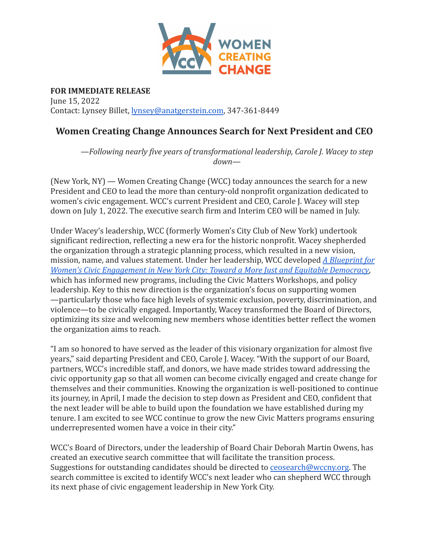

**FOR IMMEDIATE RELEASE** June 15, 2022 Contact: Lynsey Billet, [lynsey@anatgerstein.com](mailto:lynsey@anatgerstein.com), 347-361-8449

## **Women Creating Change Announces Search for Next President and CEO**

*—Following nearly five years of transformational leadership, Carole J. Wacey to step down—*

(New York, NY) — Women Creating Change (WCC) today announces the search for a new President and CEO to lead the more than century-old nonprofit organization dedicated to women's civic engagement. WCC's current President and CEO, Carole J. Wacey will step down on July 1, 2022. The executive search firm and Interim CEO will be named in July.

Under Wacey's leadership, WCC (formerly Women's City Club of New York) undertook significant redirection, reflecting a new era for the historic nonprofit. Wacey shepherded the organization through a strategic planning process, which resulted in a new vision, mission, name, and values statement. Under her leadership, WCC developed *[A Blueprint for](https://wccny.org/a-blueprint-for-womens-civic-engagement-in-new-york-city-toward-a-more-just-and-equitable-democracy/) [Women's Civic Engagement in New York City: Toward a More Just and Equitable Democracy](https://wccny.org/a-blueprint-for-womens-civic-engagement-in-new-york-city-toward-a-more-just-and-equitable-democracy/)*, which has informed new programs, including the Civic Matters Workshops, and policy leadership. Key to this new direction is the organization's focus on supporting women —particularly those who face high levels of systemic exclusion, poverty, discrimination, and violence—to be civically engaged. Importantly, Wacey transformed the Board of Directors, optimizing its size and welcoming new members whose identities better reflect the women the organization aims to reach.

"I am so honored to have served as the leader of this visionary organization for almost five years," said departing President and CEO, Carole J. Wacey. "With the support of our Board, partners, WCC's incredible staff, and donors, we have made strides toward addressing the civic opportunity gap so that all women can become civically engaged and create change for themselves and their communities. Knowing the organization is well-positioned to continue its journey, in April, I made the decision to step down as President and CEO, confident that the next leader will be able to build upon the foundation we have established during my tenure. I am excited to see WCC continue to grow the new Civic Matters programs ensuring underrepresented women have a voice in their city."

WCC's Board of Directors, under the leadership of Board Chair Deborah Martin Owens, has created an executive search committee that will facilitate the transition process. Suggestions for outstanding candidates should be directed to [ceosearch@wccny.org](mailto:info@wccny.org). The search committee is excited to identify WCC's next leader who can shepherd WCC through its next phase of civic engagement leadership in New York City.